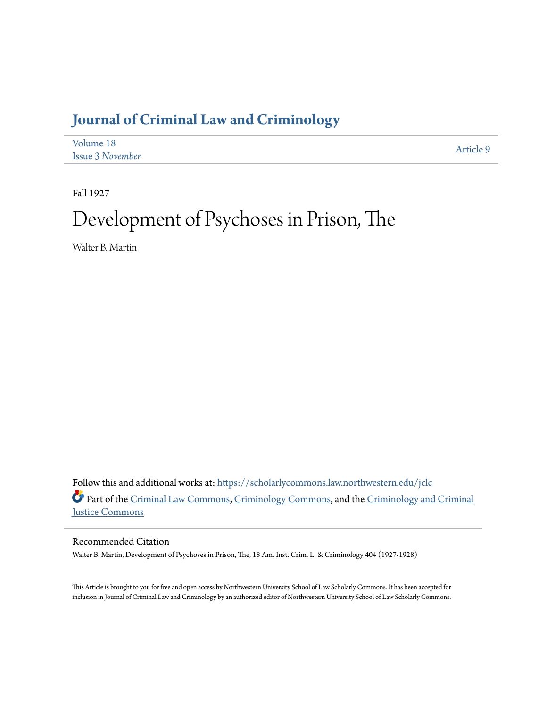# **[Journal of Criminal Law and Criminology](https://scholarlycommons.law.northwestern.edu/jclc?utm_source=scholarlycommons.law.northwestern.edu%2Fjclc%2Fvol18%2Fiss3%2F9&utm_medium=PDF&utm_campaign=PDFCoverPages)**

| Volume 18               | Article 9 |
|-------------------------|-----------|
| <b>Issue 3 November</b> |           |

Fall 1927

# Development of Psychoses in Prison, The

Walter B. Martin

Follow this and additional works at: [https://scholarlycommons.law.northwestern.edu/jclc](https://scholarlycommons.law.northwestern.edu/jclc?utm_source=scholarlycommons.law.northwestern.edu%2Fjclc%2Fvol18%2Fiss3%2F9&utm_medium=PDF&utm_campaign=PDFCoverPages) Part of the [Criminal Law Commons](http://network.bepress.com/hgg/discipline/912?utm_source=scholarlycommons.law.northwestern.edu%2Fjclc%2Fvol18%2Fiss3%2F9&utm_medium=PDF&utm_campaign=PDFCoverPages), [Criminology Commons](http://network.bepress.com/hgg/discipline/417?utm_source=scholarlycommons.law.northwestern.edu%2Fjclc%2Fvol18%2Fiss3%2F9&utm_medium=PDF&utm_campaign=PDFCoverPages), and the [Criminology and Criminal](http://network.bepress.com/hgg/discipline/367?utm_source=scholarlycommons.law.northwestern.edu%2Fjclc%2Fvol18%2Fiss3%2F9&utm_medium=PDF&utm_campaign=PDFCoverPages) [Justice Commons](http://network.bepress.com/hgg/discipline/367?utm_source=scholarlycommons.law.northwestern.edu%2Fjclc%2Fvol18%2Fiss3%2F9&utm_medium=PDF&utm_campaign=PDFCoverPages)

Recommended Citation

Walter B. Martin, Development of Psychoses in Prison, The, 18 Am. Inst. Crim. L. & Criminology 404 (1927-1928)

This Article is brought to you for free and open access by Northwestern University School of Law Scholarly Commons. It has been accepted for inclusion in Journal of Criminal Law and Criminology by an authorized editor of Northwestern University School of Law Scholarly Commons.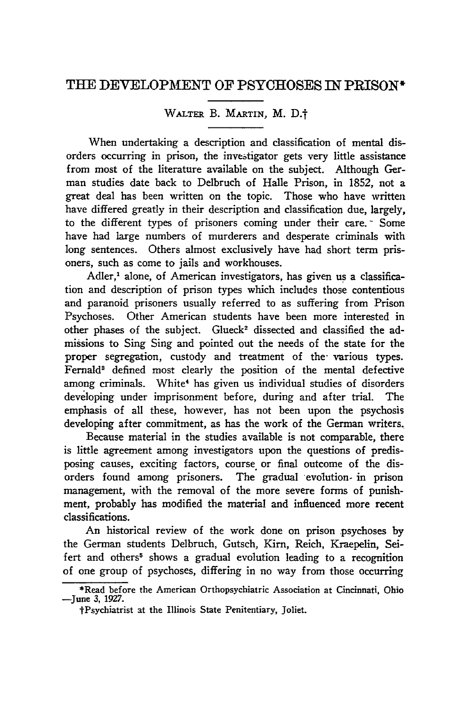## **TEE** DEVELOPMENT OF PSYCHOSES **IN** PRISON\*

### WALTER B. MARTIN, M. D.t

When undertaking a description and classification of mental disorders occurring in prison, the investigator gets very little assistance from most of the literature available on the subject. Although German studies date back to Delbruch of Halle Prison, in 1852, not a great deal has been written on the topic. Those who have written have differed greatly in their description and classification due, largely, to the different types of prisoners coming under their care. **-** Some have had large numbers of murderers and desperate criminals with long sentences. Others almost exclusively have had short term prisoners, such as come to jails and workhouses.

Adler,<sup>1</sup> alone, of American investigators, has given us a classification and description of prison types which includes those contentious and paranoid prisoners usually referred to as suffering from Prison Psychoses. Other American students have been more interested in other phases of the subject. Glueck<sup>2</sup> dissected and classified the admissions to Sing Sing and pointed out the needs of the state for the proper segregation, custody and treatment of the various types. Fernald<sup>3</sup> defined most clearly the position of the mental defective among criminals. White<sup>4</sup> has given us individual studies of disorders developing under imprisonment before, during and after trial. The emphasis of all these, however, has not been upon the psychosis developing after commitment, as has the work of the German writers.

Because material in the studies available is not comparable, there is little agreement among investigators upon the questions of predisposing causes, exciting factors, course or final outcome of the disorders found among prisoners. The gradual evolution- in prison management, with the removal of the more severe forms of punishment, probably has modified the material and influenced more recent classifications.

An historical review of the work done on prison psychoses by the German students Delbruch, Gutsch, Kim, Reich, Kraepelin, Seifert and others<sup>5</sup> shows a gradual evolution leading to a recognition of one group of psychoses, differing in no way from those occurring

<sup>\*</sup>Read before the American Orthopsychiatric Association at Cincinnati, Ohio -June **3,** 1927.

tPsychiatrist at the Illinois State Penitentiary, Joliet.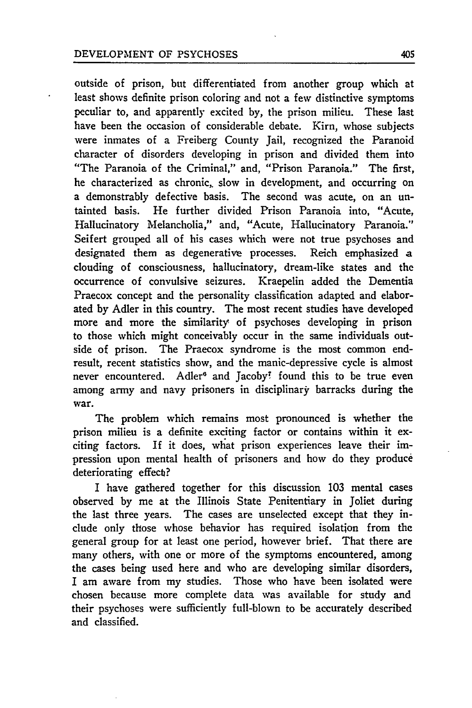#### DEVELOPMENT OF PSYCHOSES 405

outside of prison, but differentiated from another group which at least shows definite prison coloring and not a few distinctive symptoms peculiar to, and apparently excited by, the prison milieu. These last have been the occasion of considerable debate. Kirn, whose subjects were inmates of a Freiberg County Jail, recognized the Paranoid character of disorders developing in prison and divided them into "The Paranoia of the Criminal," and, "Prison Paranoia." The first, he characterized as chronic, slow in development, and occurring on a demonstrably defective basis. The second was acute, on an untainted basis. He further divided Prison Paranoia into, "Acute, Hallucinatory Melancholia," and, "Acute, Hallucinatory Paranoia." Seifert grouped all of his cases which were not true psychoses and designated them as degenerative processes. Reich emphasized a clouding of consciousness, hallucinatory, dream-like states and the occurrence of convulsive seizures. Kraepelin added the Dementia Praecox concept and the personality classification adapted and elaborated by Adler in this country. The most recent studies have developed more and more the similarity of psychoses developing in prison to those which might conceivably occur in the same individuals outside of prison. The Praecox syndrome is the most common endresult, recent statistics show, and the manic-depressive cycle is almost never encountered. Adler<sup>6</sup> and Jacoby<sup>7</sup> found this to be true even among army and navy prisoners in disciplinary barracks during the war.

The problem which remains most pronounced is whether the prison milieu is a definite exciting factor or contains within it exciting factors. If it does, what prison experiences leave their impression upon mental health of prisoners and how do they produce deteriorating effect?

I have gathered together for this discussion **103** mental cases observed **by** me at the Illinois State Penitentiary in Joliet during the last three years. The cases are unselected except that they include only those whose behavior has required isolation from the general group for at least one period, however brief. That there are many others, with one or more of the symptoms encountered, among the cases being used here and who are developing similar disorders, I am aware from my studies. Those who have been isolated were chosen because more complete data was available for study and their psychoses were sufficiently full-blown to be accurately described and classified.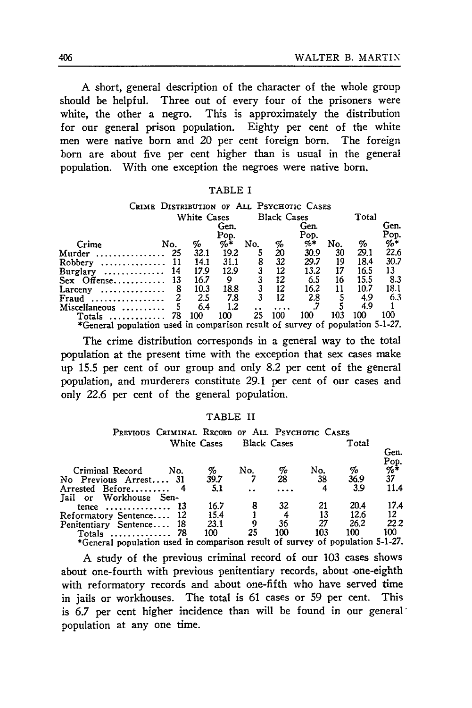A short, general description of the character of the whole group should be helpful. Three out of every four of the prisoners were white, the other a negro. This is approximately the distribution for our general prison population. Eighty per cent of the white men were native born and 20 per cent foreign born. The foreign born are about five per cent higher than is usual in the general population. With one exception the negroes were native born.

|--|--|

| CRIME DISTRIBUTION OF ALL PSYCHOTIC CASES                                     |             |      |        |     |         |                    |     |      |       |
|-------------------------------------------------------------------------------|-------------|------|--------|-----|---------|--------------------|-----|------|-------|
|                                                                               | White Cases |      |        |     |         | <b>Black Cases</b> |     |      | Total |
|                                                                               |             | Gen. |        |     | Gen.    |                    |     |      | Gen.  |
|                                                                               |             |      | Pop.   |     |         | Pop.               |     |      | Pop.  |
| Crime                                                                         | No.         | %    | $\% *$ | No. |         | $\%$ *             | No. | %    | %*    |
| Murder<br>. <b>.</b> .                                                        | 25          | 32.1 | 19.2   |     | %<br>20 | 30.9               | 30  | 29.1 | 22.6  |
| $Robbery$                                                                     | 11          | 14.1 | 31.1   | 8   | 32      | 29.7               | 19  | 18.4 | 30.7  |
| $Burglary \ldots \ldots \ldots \ldots$                                        | -14         | 17.9 | 12.9   | 3   | 12      | 13.2               | 17  | 16.5 | 13    |
| $Sex$ Offense                                                                 | -13         | 16.7 | 9      |     | 12      | 6.5                | 16  | 15.5 | 8.3   |
| Larceny<br>.                                                                  | 8           | 10.3 | 18.8   |     | 12      | 16.2               | 11  | 10.7 | 18.1  |
| Fraud                                                                         |             | 2.5  | 7.8    | 3   | 12      | 2.8                |     | 4.9  | 6.3   |
| Miscellaneous                                                                 |             | 6.4  | 1.2    |     |         |                    |     | 4.9  |       |
| Totals<br>. <i>.</i>                                                          | 78          | 100  | 100    | 25  | 100     | 100                | 103 | 100  | 100   |
| *General population used in comparison result of survey of population 5-1-27. |             |      |        |     |         |                    |     |      |       |

The crime distribution corresponds in a general way to the total population at the present time with the exception that sex cases make up 15.5 per cent of our group and only 8.2 per cent of the general population, and murderers constitute 29.1 per cent of our cases and only 22.6 per cent of the general population.

#### TABLE II

| PREVIOUS CRIMINAL RECORD OF ALL PSYCHOTIC CASES                               |                    |     |                    |     |       |                         |
|-------------------------------------------------------------------------------|--------------------|-----|--------------------|-----|-------|-------------------------|
|                                                                               | <b>White Cases</b> |     | <b>Black Cases</b> |     | Total |                         |
|                                                                               |                    |     |                    |     |       | Gen.                    |
| Criminal Record<br>No.                                                        | %                  | No. | %                  | No. | %     | Pop.<br>$\frac{\%}{37}$ |
| No Previous Arrest 31                                                         | 39.7               |     | 28                 | 38  | 36.9  |                         |
| Arrested Before                                                               | 5.1                |     |                    | 4   | 3.9   | 11.4                    |
| Jail or Workhouse Sen-                                                        |                    |     |                    |     |       |                         |
| tence $13$                                                                    | 16.7               |     | 32                 | 21  | 20.4  | 17.4                    |
| Reformatory Sentence 12                                                       | 15.4               |     |                    | 13  | 12.6  | 12.                     |
| Penitentiary Sentence 18                                                      | 23.1               |     | 36                 | 27  | 26.2  | 22.2                    |
| Totals  78                                                                    | 100                | 25  | 100                | 103 | 100   | 100 -                   |
| *General population used in comparison result of survey of population 5-1-27. |                    |     |                    |     |       |                         |

A study of the previous criminal record of our 103 cases shows about one-fourth with previous penitentiary records, about one-eighth with reformatory records and about one-fifth who have served time in jails or workhouses. The total is 61 cases or **59** per cent. This is **6.7** per cent higher incidence than will be found in our general' population at any one time.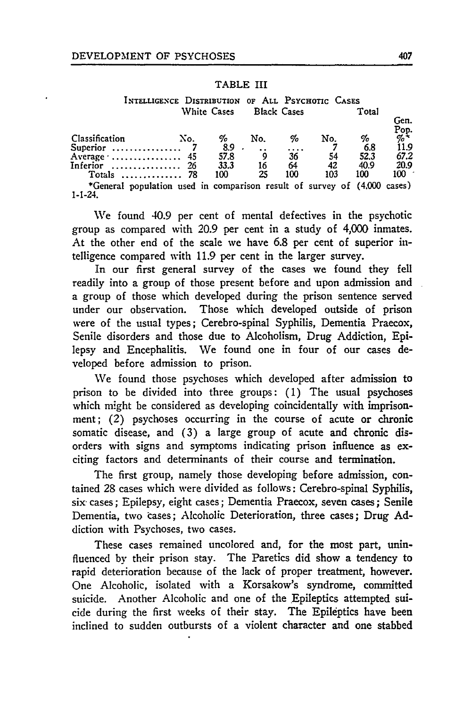#### TABLE III

**INTELLIGENCE** DISTRIBUTION **OF ALL PSYCHOTIC CASES** White Cases Black Cases Total

| Classification                                                                           | No. | %    | No. | %   | No. | %    | Gen.<br>Pop.<br>%* |
|------------------------------------------------------------------------------------------|-----|------|-----|-----|-----|------|--------------------|
|                                                                                          |     | 8.9  |     |     |     | 6.8  | 11.9               |
| Average $\ldots$ 45                                                                      |     | 57.8 |     | 36  | 54  | 52.3 | 67.2               |
| Inferior $26$                                                                            |     | 33.3 | 16  | 64  | 42  | 40.9 | 20.9               |
| Totals $\ldots \ldots \ldots \ldots$ 78                                                  |     | 100  | 25  | 100 | 103 | 100  | $100-$             |
| *General population used in comparison result of survey of (4,000 cases)<br>$1 - 1 - 24$ |     |      |     |     |     |      |                    |

We found 40.9 per cent of mental defectives in the psychotic group as compared with 20.9 per cent in a study of 4,000 inmates. At the other end of the scale we have 6.8 per cent of superior intelligence compared with 11.9 per cent in the larger survey.

In our first general survey of the cases we found they fell readily into a group of those present before and upon admission and a group of those which developed during the prison sentence served under our observation. Those which developed outside of prison were of the usual types; Cerebro-spinal Syphilis, Dementia Praecox, Senile disorders and those due to Alcoholism, Drug Addiction, Epilepsy and Encephalitis. We found one in four of our cases developed before admission to prison.

We found those psychoses which developed after admission to prison to be divided into three groups: **(1)** The usual psychoses which might be considered as developing coincidentally with imprisonment; (2) psychoses occurring in the course of acute or chronic somatic disease, and **(3)** a large group of acute and chronic disorders with signs and symptoms indicating prison influence as exciting factors and determinants of their course and termination.

The first group, namely those developing before admission, contained 28 cases which were divided as follows: Cerebro-spinal Syphilis, six- cases; Epilepsy, eight cases; Dementia Praecox, seven cases; Senile Dementia, two cases; Alcoholic Deterioration, three cases; Drug Addiction with Psychoses, two cases.

These cases remained uncolored and, for the most part, uninfluenced by their prison stay. The Paretics did show a tendency to rapid deterioration because of the lack of proper treatment, however. One Alcoholic, isolated with a Korsakow's syndrome, committed suicide. Another Alcoholic and one of the Epileptics attempted suicide during the first weeks of their stay. The Epileptics have been inclined to sudden outbursts of a violent character and one stabbed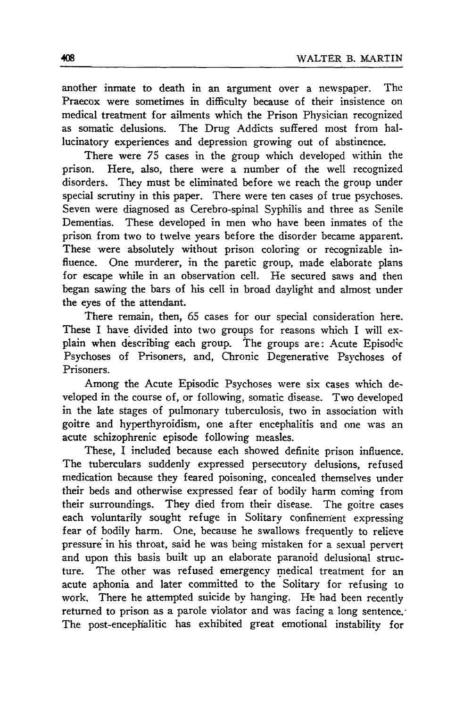another inmate to death in an argument over a newspaper. The Praecox were sometimes in difficulty because of their insistence on medical treatment for ailments which the Prison Physician recognized as somatic delusions. The Drug Addicts suffered most from hallucinatory experiences and depression growing out of abstinence.

There were 75 cases in the group which developed within the prison. Here, also, there were a number of the well recognized disorders. They must be eliminated before we reach the group under special scrutiny in this paper. There were ten cases of true psychoses. Seven were diagnosed as Cerebro-spinal Syphilis and three as Senile Dementias. These developed in men who have been inmates of the prison from two to twelve years before the disorder became apparent. These were absolutely without prison coloring or recognizable influence. One murderer, in the paretic group, made elaborate plans for escape while in an observation cell. He secured saws and then began sawing the bars of his cell in broad daylight and almost under the eyes of the attendant.

There remain, then, 65 cases for our special consideration here. These I have divided into two groups for reasons which I will explain when describing each group. The groups are: Acute Episodic Psychoses of Prisoners, and, Chronic Degenerative Psychoses of Prisoners.

Among the Acute Episodic Psychoses were six cases which developed in the course of, or following, somatic disease. Two developed in the late stages of pulmonary tuberculosis, two in association with goitre and hyperthyroidism, one after encephalitis and one was an acute schizophrenic episode following measles.

These, I included because each showed definite prison influence. The tuberculars suddenly expressed persecutory delusions, refused medication because they feared poisoning, concealed themselves under their beds and otherwise expressed fear of bodily harm coming from their surroundings. They died from their disease. The goitre cases each voluntarily sought refuge in Solitary confinement expressing fear of bodily harm. One, because he swallows frequently to relieve pressure in his throat, said he was being mistaken for a sexual pervert and upon this basis built up an elaborate paranoid delusional structure. The other was refused emergency medical treatment for an acute aphonia and later committed to the Solitary for refusing to work. There he attempted suicide by hanging. He had been recently returned to prison as a parole violator and was facing a long sentence. The post-encephalitic has exhibited great emotional instability for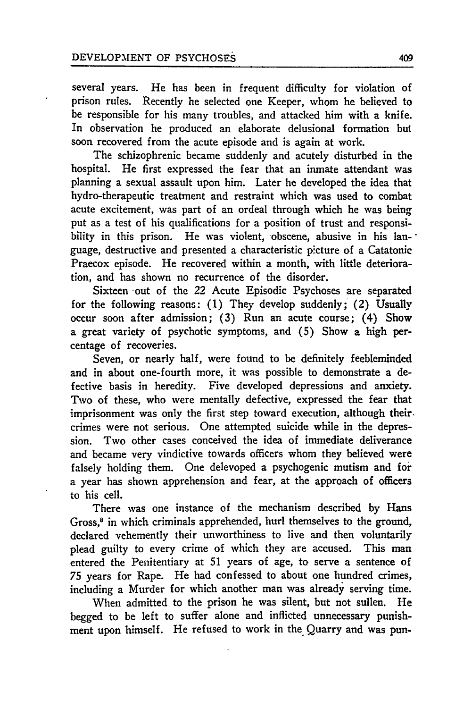several years. He has been in frequent difficulty for violation of prison rules. Recently he selected one Keeper, whom he believed to be responsible for his many troubles, and attacked him with a knife. In observation he produced an elaborate delusional formation but soon recovered from the acute episode and is again at work.

The schizophrenic became suddenly and acutely disturbed in the hospital. He first expressed the fear that an inmate attendant was planning a sexual assault upon him. Later he developed the idea that hydro-therapeutic treatment and restraint which was used to combat acute excitement, was part of an ordeal through which he was being put as a test of his qualifications for a position of trust and responsibility in this prison. He was violent, obscene, abusive in his language, destructive and presented a characteristic picture of a Catatonic Praecox episode. He recovered within a month, with little deterioration, and has shown no recurrence of the disorder.

Sixteen -out of the 22 Acute Episodic Psychoses are separated for the following reasons: (1) They develop suddenly; (2) Usually occur soon after admission; (3) Run an acute course; (4) Show a great variety of psychotic symptoms, and **(5)** Show a high percentage of recoveries.

Seven, or nearly half, were found to be definitely feebleminded and in about one-fourth more, it was possible to demonstrate a defective basis in heredity. Five developed depressions and anxiety. Two of these, who were mentally defective, expressed the fear that imprisonment was only the first step toward execution, although their. crimes were not serious. One attempted suicide while in the depression. Two other cases conceived the idea of immediate deliverance and became very vindictive towards officers whom they believed were falsely holding them. One delevoped a psychogenic mutism and for a year has shown apprehension and fear, at the approach of officers to his cell.

There was one instance of the mechanism described by Hans Gross,<sup>8</sup> in which criminals apprehended, hurl themselves to the ground, declared vehemently their unworthiness to live and then voluntarily plead guilty to every crime of which they are accused. This man entered the Penitentiary at 51 years of age, to serve a sentence of 75 years for Rape. He had confessed to about one hundred crimes, including a Murder for which another man was already serving time.

When admitted to the prison he was silent, but not sullen. He begged to be left to suffer alone and inflicted unnecessary punishment upon himself. He refused to work in the Quarry and was pun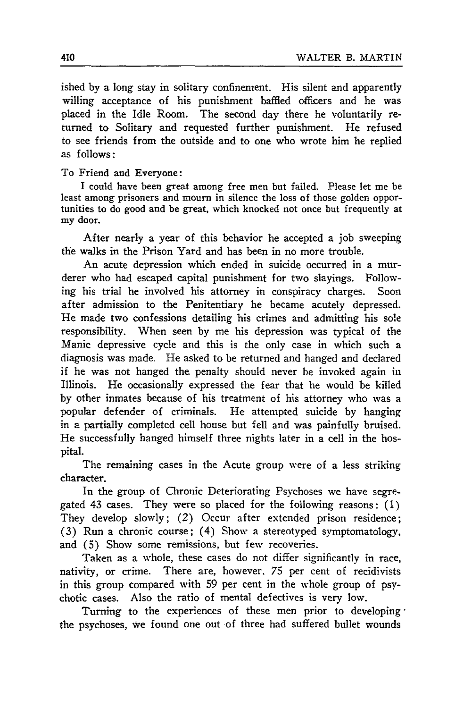ished by a long stay in solitary confinement. His silent and apparently willing acceptance of his punishment baffled officers and he was placed in the Idle Room. The second day there he voluntarily returned to Solitary and requested further punishment. He refused to see friends from the outside and to one who wrote him he replied as follows:

To Friend and Everyone:

I could have been great among free men but failed. Please let me be least among prisoners and mourn in silence the loss of those golden opportunities to do good and be great, which knocked not once but frequently at my door.

After nearly a year of this behavior he accepted a job sweeping the walks in the Prison Yard and has been in no more trouble.

An acute depression which ended in suicide occurred in a murderer who had escaped capital punishment for two slayings. Following his trial he involved his attorney in conspiracy charges. Soon after admission to the Penitentiary he became acutely depressed. He made two confessions detailing his crimes and admitting his sole responsibility. When seen by me his depression was typical of the Manic depressive cycle and this is the only case in which such a diagnosis was made. He asked to be returned and hanged and declared if he was not hanged the penalty should never be invoked again in Illinois. He occasionally expressed the fear that he would be killed by other inmates because of his treatment of his attorney who was a popular defender of criminals. He attempted suicide by hanging in a partially completed cell house but fell and was painfully bruised. He successfully hanged himself three nights later in a cell in the hospital.

The remaining cases in the Acute group were of a less striking character.

In the group of Chronic Deteriorating Psychoses we have segregated 43 cases. They were so placed for the following reasons: (1) They develop slowly; (2) Occur after extended prison residence; (3) Run a chronic course; (4) Show a stereotyped symptomatology, and (5) Show some remissions, but few recoveries.

Taken as a whole, these cases do not differ significantly in race, nativity, or crime. There are, however. 75 per cent of recidivists in this group compared with 59 per cent in the whole group of psychotic cases. Also the ratio of mental defectives is very low.

Turning to the experiences of these men prior to developing the psychoses, we found one out of three had suffered bullet wounds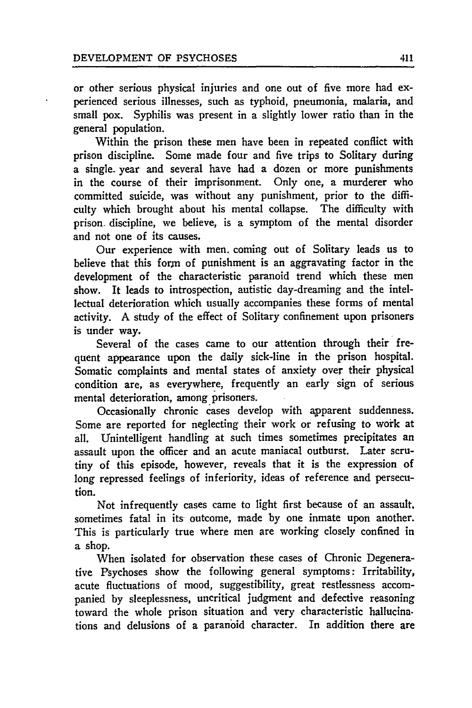or other serious physical injuries and one out of five more had experienced serious illnesses, such as typhoid, pneumonia, malaria, and small pox. Syphilis was present in a slightly lower ratio than in the general population.

Within the prison these men have been in repeated conflict with prison discipline. Some made four and five trips to Solitary during a single- year and several have had a dozen or more punishments in the course of their imprisonment. Only one, a murderer who committed suicide, was without any punishment, prior to the difficulty which brought about his mental collapse. The difficulty with prison, discipline, we believe, is a symptom of the mental disorder and not one of its causes.

Our experience with men. coming out of Solitary leads us to believe that this forn of punishment is an aggravating factor in the development of the characteristic paranoid trend which these men show. It leads to introspection, autistic day-dreaming and the intellectual deterioration which usually accompanies these forms of mental activity. A study of the effect of Solitary confinement upon prisoners is under way.

Several of the cases came to our attention through their frequent appearance upon the daily sick-line in the prison hospital. Somatic complaints and mental states of anxiety over their physical condition are, as everywhere, frequently an early sign of serious mental deterioration, among prisoners.

Occasionally chronic cases develop with apparent suddenness. Some are reported for neglecting their work or refusing to work at all. Unintelligent handling at such times sometimes precipitates an assault upon the officer and an acute maniacal outburst. Later scrutiny of this episode, however, reveals that it is the expression of long repressed feelings of inferiority, ideas of reference and persecution.

Not infrequently cases came to light first because of an assault. sometimes fatal in its- outcome, made **by** one inmate upon another. This is particularly true where men are working closely confined in a shop.

When isolated for observation these cases of Chronic Degenerative Psychoses show the following general symptoms: Irritability, acute fluctuations of mood, suggestibility, great restlessness accompanied by sleeplessness, uncritical judgment and defective reasoning toward the whole prison situation and very characteristic hallucinations and delusions of a paranoid character. In addition there are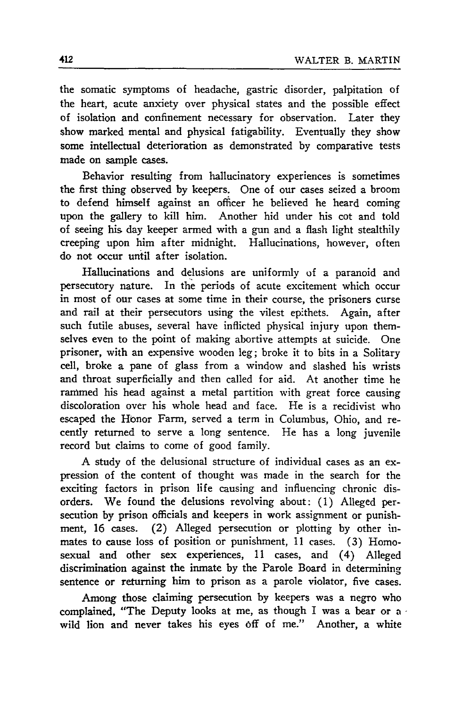the somatic symptoms of headache, gastric disorder, palpitation of the heart, acute anxiety over physical states and the possible effect of isolation and confinement necessary for observation. Later they show marked mental and physical fatigability. Eventually they show some intellectual deterioration as demonstrated by comparative tests made on sample cases.

Behavior resulting from hallucinatory experiences is sometimes the first thing observed by keepers. One of our cases seized a broom to defend himself against an officer he believed he heard coming upon the gallery to kill him. Another hid under his cot and told of seeing his day keeper armed with a gun and a flash light stealthily creeping upon him after midnight. Hallucinations, however, often do not occur until after isolation.

Hallucinations and delusions are uniformly of a paranoid and persecutory nature. In the periods of acute excitement which occur in most of our cases at some time in their course, the prisoners curse and rail at their persecutors using the vilest epithets. Again, after such futile abuses, several have inflicted physical injury upon themselves even to the point of making abortive attempts at suicide. One prisoner, with an expensive wooden leg; broke it to bits in a Solitary cell, broke a pane of glass from a window and slashed his wrists and throat superficially and then called for aid. At another time he rammed his head against a metal partition with great force causing discoloration over his whole head and face. He is a recidivist who escaped the Honor Farm, served a term in Columbus, Ohio, and recently returned to serve a long sentence. He has a long juvenile record but claims to come of good family.

**A** study of the delusional structure of individual cases as an expression of the content of thought was made in the search for the exciting factors in prison life causing and influencing chronic disorders. We found the delusions revolving about: (1) Alleged persecution by prison officials and keepers in work assignment or punishment, 16 cases. (2) Alleged persecution or plotting by other inmates to cause loss of position or punishment, 11 cases. (3) Homosexual and other sex experiences, 11 cases, and (4) Alleged discrimination against the inmate by the Parole Board in determining sentence or returning him to prison as a parole violator, five cases.

Among those claiming persecution by keepers was a negro who complained, "The Deputy looks at me, as though I was a bear or a wild lion and never takes his eyes off of me." Another, a white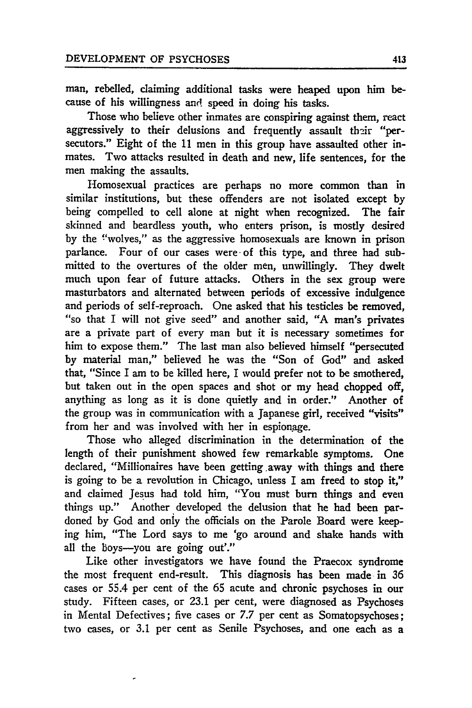man, rebelled, claiming additional tasks were heaped upon him because of his willingness and speed in doing his tasks.

Those who believe other inmates are conspiring against them, react aggressively to their delusions and frequently assault their "persecutors." Eight of the **11** men in this group have assaulted other inmates. Two attacks resulted in death and new, life sentences, for the men making the assaults.

Homosexual practices are perhaps no more common than in similar institutions, but these offenders are not isolated except **by** being compelled to cell alone at night when recognized. The fair skinned and beardless youth, who enters prison, is mostly desired **by** the !'wolyes," as the aggressive homosexuals are known in prison parlance. Four of our cases were of this type, and three had submitted to the overtures of the older men, unwillingly. They dwelt much upon fear of future attacks. Others in the sex group were masturbators and alternated between periods of excessive indulgence and periods of self-reproach. One asked that his testicles be removed, "so that I will not give seed" and another said, **"A** man's privates are a private part of every man but it is necessary sometimes for him to expose them." The last man also believed himself "persecuted **by** material man," believed he was the "Son of God" and asked that, "Since I am to be killed here, I would prefer not to be smothered, but taken out in the open spaces and shot or my head chopped off, anything as long as it is done quietly and in order." Another of the group was in communication with a Japanese girl, received "visits" from her and was involved with her in espionage.

Those who alleged discrimination in the determination of the length of their punishment showed few remarkable symptoms. One declared, "Millionaires have been getting away with things and there is going to be a revolution in Chicago, unless I am freed to stop it," and claimed Jesus had told him, "You must burn things and even things up." Another developed the delusion that he had been pardoned **by** God and only the officials on the Parole Board were keeping him, "The Lord says to me 'go around and shake hands with all the boys--you are going out'."

Like other investigators we have found the Praecox syndrome the most frequent end-result. This diagnosis has been made in **36** cases or 55.4 per cent of the **65** acute and chronic psychoses in our study. Fifteen cases, or 23.1 per cent, were diagnosed as Psychoses in Mental Defectives; five cases or **7.7** per cent as Somatopsychoses; two cases, or **3.1** per cent as Senile Psychoses, and one each as a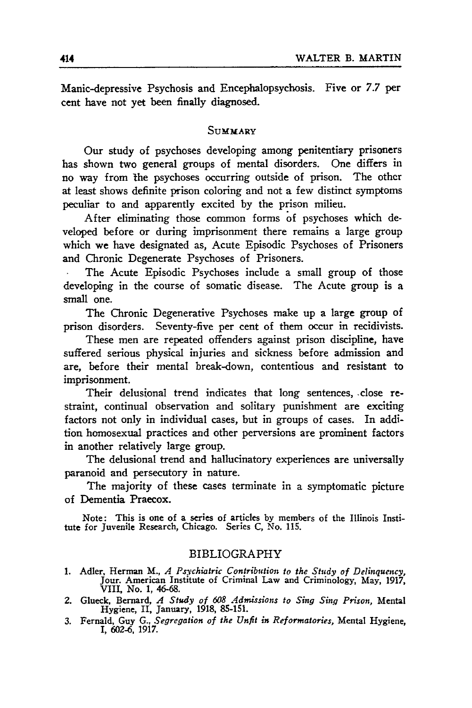Manic-depressive Psychosis and Encephalopsychosis. Five or 7.7 per cent have not yet been finally diagnosed.

#### **SUMMARY**

Our study of psychoses developing among penitentiary prisoners has shown two general groups of mental disorders. One differs in no way from **The** psychoses occurring outside of prison. The other at least shows definite prison coloring and not a few distinct symptoms peculiar to and apparently excited **by** the prison milieu.

After eliminating those common forms of psychoses which developed before or during imprisonment there remains a large group which we have designated as, Acute Episodic Psychoses of Prisoners and Chronic Degenerate Psychoses of Prisoners.

The Acute Episodic Psychoses include a small group of those developing in the course of somatic disease. The Acute group is a small one.

The Chronic Degenerative Psychoses make up a large group of prison disorders. Seventy-five per cent of them occur in recidivists.

These men are repeated offenders against prison discipline, have suffered serious physical injuries and sickness before admission and are, before their mental break-down, contentious and resistant to imprisonment.

Their delusional trend indicates that long sentences, close restraint, continual observation and solitary punishment are exciting factors not only in individual cases, but in groups of cases. In addition homosexual practices and other perversions are prominent factors in another relatively large group.

The delusional trend and hallucinatory experiences are universally paranoid and persecutory in nature.

The majority of these cases terminate in a symptomatic picture of Dementia Praecox.

Note: This is one of a series of articles **by** members of the Illinois Institute for Juvenile Research, Chicago. Series C, No. **115.**

#### BIBLIOGRAPHY

- **1.** Adler, Herman **M.,** *A Psychiatric Contribution to the Study of Delinquency,* Jour. American Institute of Criminal Law and Criminology, May, 1917, VIII, No. 1, 46-68.
- 2. Glueck, Bernard, *A Study of 608 Admissions to Sing Sing Prison,* Mental Hygiene, II, January, 1918, 85-151.
- **3.** Fernald, Guy G., *Segregation of the Unfit in Reformatories,* Mental Hygiene, I, 602-6, 1917.